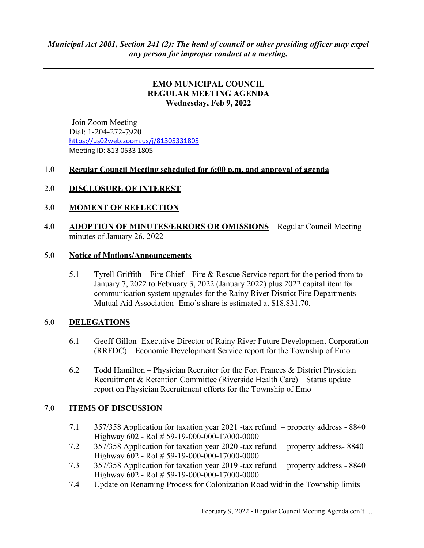### EMO MUNICIPAL COUNCIL REGULAR MEETING AGENDA Wednesday, Feb 9, 2022

 -Join Zoom Meeting Dial: 1-204-272-7920 https://us02web.zoom.us/j/81305331805 Meeting ID: 813 0533 1805

## 1.0 Regular Council Meeting scheduled for 6:00 p.m. and approval of agenda

## 2.0 DISCLOSURE OF INTEREST

#### 3.0 MOMENT OF REFLECTION

4.0 ADOPTION OF MINUTES/ERRORS OR OMISSIONS – Regular Council Meeting minutes of January 26, 2022

#### 5.0 Notice of Motions/Announcements

5.1 Tyrell Griffith – Fire Chief – Fire & Rescue Service report for the period from to January 7, 2022 to February 3, 2022 (January 2022) plus 2022 capital item for communication system upgrades for the Rainy River District Fire Departments-Mutual Aid Association- Emo's share is estimated at \$18,831.70.

#### 6.0 DELEGATIONS

- 6.1 Geoff Gillon- Executive Director of Rainy River Future Development Corporation (RRFDC) – Economic Development Service report for the Township of Emo
- 6.2 Todd Hamilton Physician Recruiter for the Fort Frances & District Physician Recruitment & Retention Committee (Riverside Health Care) – Status update report on Physician Recruitment efforts for the Township of Emo

#### 7.0 ITEMS OF DISCUSSION

- 7.1 357/358 Application for taxation year 2021 -tax refund property address 8840 Highway 602 - Roll# 59-19-000-000-17000-0000
- 7.2 357/358 Application for taxation year 2020 -tax refund property address- 8840 Highway 602 - Roll# 59-19-000-000-17000-0000
- 7.3 357/358 Application for taxation year 2019 -tax refund property address 8840 Highway 602 - Roll# 59-19-000-000-17000-0000
- 7.4 Update on Renaming Process for Colonization Road within the Township limits